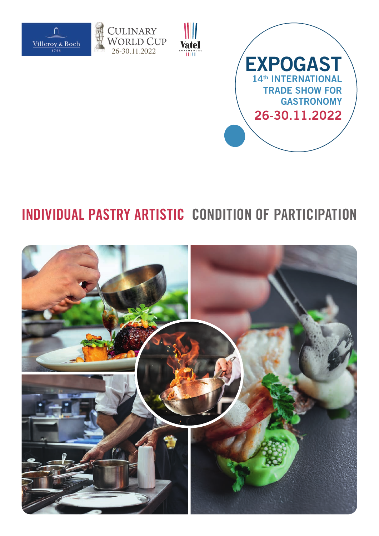



۱I

<sup>ENBOU</sup>



## **INDIVIDUAL PASTRY ARTISTIC CONDITION OF PARTICIPATION**

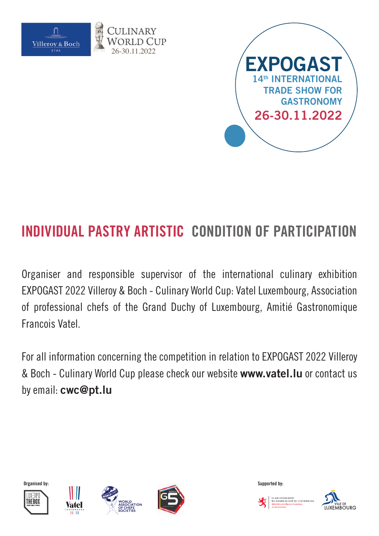



Organiser and responsible supervisor of the international culinary exhibition EXPOGAST 2022 Villeroy & Boch - Culinary World Cup: Vatel Luxembourg, Association of professional chefs of the Grand Duchy of Luxembourg, Amitié Gastronomique Francois Vatel.

For all information concerning the competition in relation to EXPOGAST 2022 Villeroy & Boch - Culinary World Cup please check our website **www.vatel.lu** or contact us by email: **cwc@pt.lu**











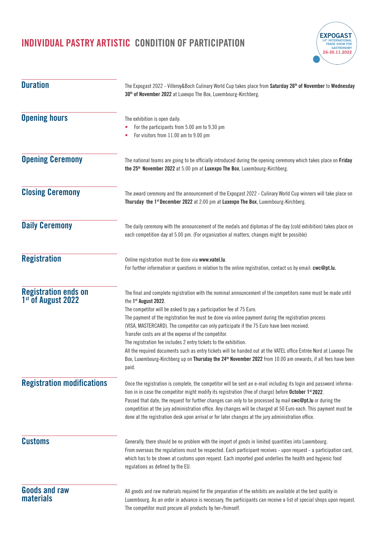

| <b>Duration</b>                                               | The Expogast 2022 - Villeroy&Boch Culinary World Cup takes place from Saturday 26 <sup>th</sup> of November to Wednesday<br>30 <sup>th</sup> of November 2022 at Luxexpo The Box, Luxembourg-Kirchberg.<br>The exhibition is open daily:<br>For the participants from 5.00 am to 9.30 pm<br>For visitors from 11.00 am to 9.00 pm                                                                                                                                                                                                                                                                                                                                                                                                                                                                       |  |  |
|---------------------------------------------------------------|---------------------------------------------------------------------------------------------------------------------------------------------------------------------------------------------------------------------------------------------------------------------------------------------------------------------------------------------------------------------------------------------------------------------------------------------------------------------------------------------------------------------------------------------------------------------------------------------------------------------------------------------------------------------------------------------------------------------------------------------------------------------------------------------------------|--|--|
| <b>Opening hours</b>                                          |                                                                                                                                                                                                                                                                                                                                                                                                                                                                                                                                                                                                                                                                                                                                                                                                         |  |  |
| <b>Opening Ceremony</b>                                       | The national teams are going to be officially introduced during the opening ceremony which takes place on Friday<br>the 25 <sup>th</sup> November 2022 at 5.00 pm at Luxexpo The Box, Luxembourg-Kirchberg.                                                                                                                                                                                                                                                                                                                                                                                                                                                                                                                                                                                             |  |  |
| <b>Closing Ceremony</b>                                       | The award ceremony and the announcement of the Expogast 2022 - Culinary World Cup winners will take place on<br>Thursday the 1 <sup>st</sup> December 2022 at 2:00 pm at Luxexpo The Box, Luxembourg-Kirchberg.                                                                                                                                                                                                                                                                                                                                                                                                                                                                                                                                                                                         |  |  |
| <b>Daily Ceremony</b>                                         | The daily ceremony with the announcement of the medals and diplomas of the day (cold exhibition) takes place on<br>each competition day at 5.00 pm. (For organization al matters, changes might be possible)                                                                                                                                                                                                                                                                                                                                                                                                                                                                                                                                                                                            |  |  |
| <b>Registration</b>                                           | Online registration must be done via www.vatel.lu.<br>For further information or questions in relation to the online registration, contact us by email: cwc@pt.lu.                                                                                                                                                                                                                                                                                                                                                                                                                                                                                                                                                                                                                                      |  |  |
| <b>Registration ends on</b><br>1 <sup>st</sup> of August 2022 | The final and complete registration with the nominal announcement of the competitors name must be made until<br>the 1st August 2022.<br>The competitor will be asked to pay a participation fee of 75 Euro.<br>The payment of the registration fee must be done via online payment during the registration process<br>(VISA, MASTERCARD). The competitor can only participate if the 75 Euro have been received.<br>Transfer costs are at the expense of the competitor.<br>The registration fee includes 2 entry tickets to the exhibition.<br>All the required documents such as entry tickets will be handed out at the VATEL office Entrée Nord at Luxexpo The<br>Box, Luxembourg-Kirchberg up on Thursday the 24 <sup>th</sup> November 2022 from 10.00 am onwards, if all fees have been<br>paid. |  |  |
| <b>Registration modifications</b>                             | Once the registration is complete, the competitor will be sent an e-mail including its login and password informa-<br>tion in in case the competitor might modify its registration (free of charge) before October 1 <sup>st</sup> 2022.<br>Passed that date, the request for further changes can only to be processed by mail cwc@pt.lu or during the<br>competition at the jury administration office. Any changes will be charged at 50 Euro each. This payment must be<br>done at the registration desk upon arrival or for later changes at the jury administration office.                                                                                                                                                                                                                        |  |  |
| <b>Customs</b>                                                | Generally, there should be no problem with the import of goods in limited quantities into Luxembourg.<br>From overseas the regulations must be respected. Each participant receives - upon request - a participation card,<br>which has to be shown at customs upon request. Each imported good underlies the health and hygienic food<br>regulations as defined by the EU.                                                                                                                                                                                                                                                                                                                                                                                                                             |  |  |
| <b>Goods and raw</b><br><b>materials</b>                      | All goods and raw materials required for the preparation of the exhibits are available at the best quality in<br>Luxembourg. As an order in advance is necessary, the participants can receive a list of special shops upon request.<br>The competitor must procure all products by her-/himself.                                                                                                                                                                                                                                                                                                                                                                                                                                                                                                       |  |  |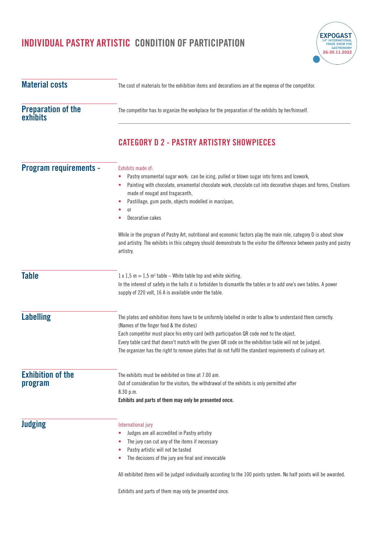**Material costs**

**exhibits**

**Table**

**Labelling**

**Exhibition of the** 

**program**

**Judging**

**Preparation of the** 



- The jury can cut any of the items if necessary
- Pastry artistic will not be tasted
- The decisions of the jury are final and irrevocable

All exhibited items will be judged individually according to the 100 points system. No half points will be awarded.

Exhibits and parts of them may only be presented once.